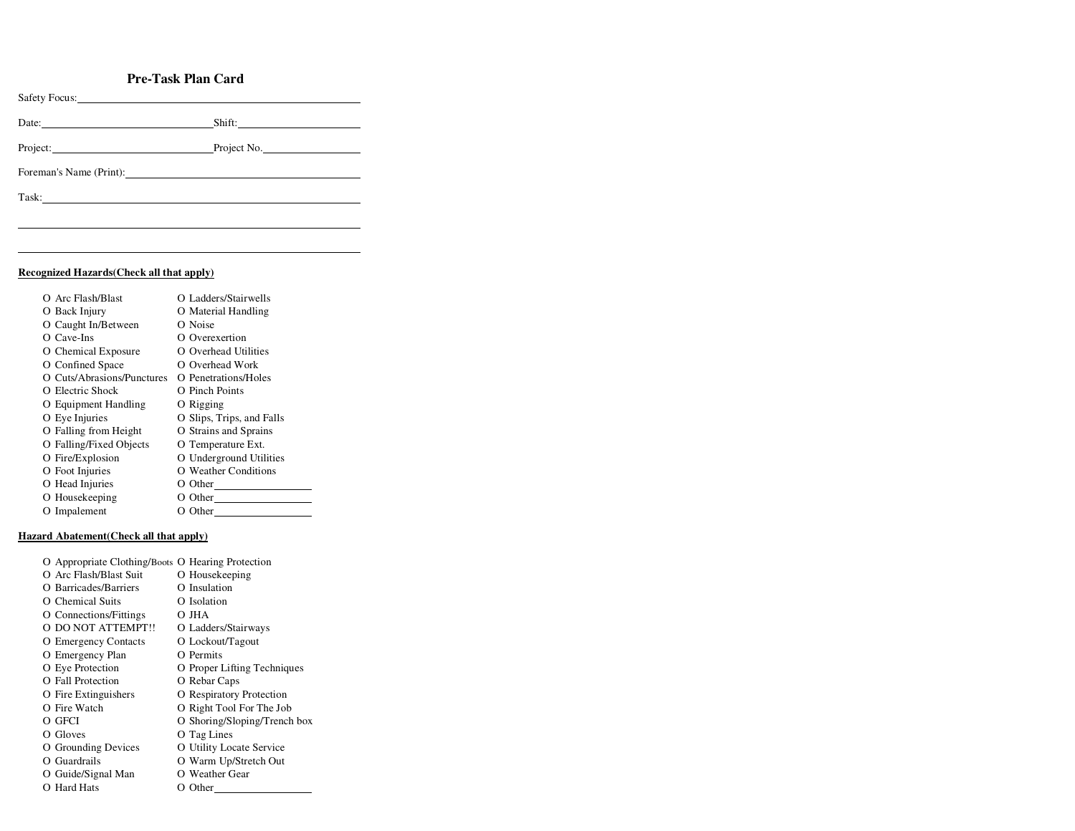## **Pre-Task Plan Card**

| Safety Focus: No. 1996                                                                                                                                                                                                         |        |
|--------------------------------------------------------------------------------------------------------------------------------------------------------------------------------------------------------------------------------|--------|
| Date:                                                                                                                                                                                                                          | Shift: |
| Project: Project No.                                                                                                                                                                                                           |        |
|                                                                                                                                                                                                                                |        |
| Task: Task and the second state of the second state of the second state of the second state of the second state of the second state of the second state of the second state of the second state of the second state of the sec |        |
|                                                                                                                                                                                                                                |        |

## **Recognized Hazards(Check all that apply)**

| O Arc Flash/Blast          | O Ladders/Stairwells      |
|----------------------------|---------------------------|
| O Back Injury              | O Material Handling       |
| O Caught In/Between        | O Noise                   |
| $O$ Cave-Ins               | O Overexertion            |
| O Chemical Exposure        | O Overhead Utilities      |
| O Confined Space           | O Overhead Work           |
| O Cuts/Abrasions/Punctures | O Penetrations/Holes      |
| O Electric Shock           | O Pinch Points            |
| O Equipment Handling       | O Rigging                 |
| O Eye Injuries             | O Slips, Trips, and Falls |
| O Falling from Height      | O Strains and Sprains     |
| O Falling/Fixed Objects    | O Temperature Ext.        |
| O Fire/Explosion           | O Underground Utilities   |
| O Foot Injuries            | O Weather Conditions      |
| O Head Injuries            | O Other $\_\_$            |
| O Housekeeping             | O Other                   |
| O Impalement               | O Other                   |
|                            |                           |

## **Hazard Abatement(Check all that apply)**

| O Appropriate Clothing/Boots O Hearing Protection |                              |
|---------------------------------------------------|------------------------------|
| O Arc Flash/Blast Suit                            | O Housekeeping               |
| O Barricades/Barriers                             | O Insulation                 |
| O Chemical Suits                                  | O Isolation                  |
| O Connections/Fittings                            | O JHA                        |
| O DO NOT ATTEMPT!!                                | O Ladders/Stairways          |
| O Emergency Contacts                              | O Lockout/Tagout             |
| O Emergency Plan                                  | O Permits                    |
| O Eye Protection                                  | O Proper Lifting Techniques  |
| O Fall Protection                                 | O Rebar Caps                 |
| O Fire Extinguishers                              | O Respiratory Protection     |
| O Fire Watch                                      | O Right Tool For The Job     |
| O GFCI                                            | O Shoring/Sloping/Trench box |
| O Gloves                                          | O Tag Lines                  |
| O Grounding Devices                               | O Utility Locate Service     |
| O Guardrails                                      | O Warm Up/Stretch Out        |
| O Guide/Signal Man                                | O Weather Gear               |
| O Hard Hats                                       | O Other                      |